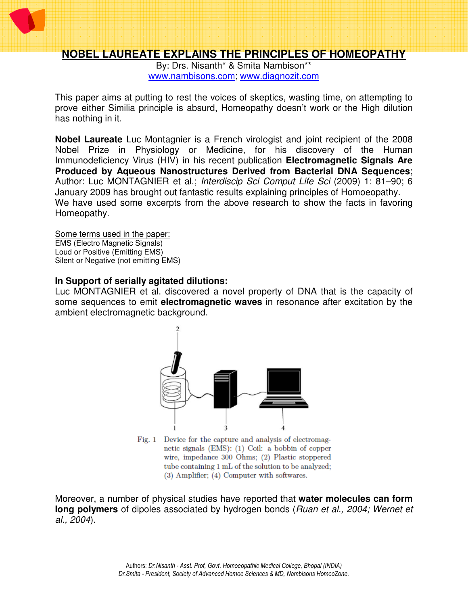

# **NOBEL LAUREATE EXPLAINS THE PRINCIPLES OF HOMEOPATHY**

By: Drs. Nisanth\* & Smita Nambison\*\* www.nambisons.com; www.diagnozit.com

This paper aims at putting to rest the voices of skeptics, wasting time, on attempting to prove either Similia principle is absurd, Homeopathy doesn't work or the High dilution has nothing in it.

**Nobel Laureate** Luc Montagnier is a French virologist and joint recipient of the 2008 Nobel Prize in Physiology or Medicine, for his discovery of the Human Immunodeficiency Virus (HIV) in his recent publication **Electromagnetic Signals Are Produced by Aqueous Nanostructures Derived from Bacterial DNA Sequences**; Author: Luc MONTAGNIER et al.; Interdiscip Sci Comput Life Sci (2009) 1: 81–90; 6 January 2009 has brought out fantastic results explaining principles of Homoeopathy. We have used some excerpts from the above research to show the facts in favoring Homeopathy.

Some terms used in the paper: EMS (Electro Magnetic Signals) Loud or Positive (Emitting EMS) Silent or Negative (not emitting EMS)

#### **In Support of serially agitated dilutions:**

Luc MONTAGNIER et al. discovered a novel property of DNA that is the capacity of some sequences to emit **electromagnetic waves** in resonance after excitation by the ambient electromagnetic background.



Fig. 1 Device for the capture and analysis of electromagnetic signals (EMS): (1) Coil: a bobbin of copper wire, impedance 300 Ohms; (2) Plastic stoppered tube containing 1 mL of the solution to be analyzed; (3) Amplifier; (4) Computer with softwares.

Moreover, a number of physical studies have reported that **water molecules can form long polymers** of dipoles associated by hydrogen bonds (Ruan et al., 2004; Wernet et al., 2004).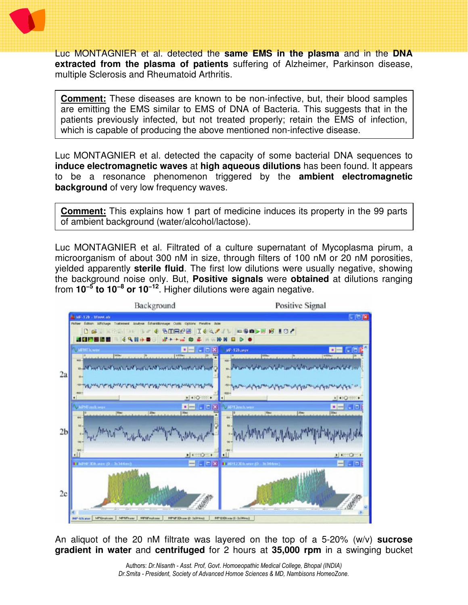

Luc MONTAGNIER et al. detected the **same EMS in the plasma** and in the **DNA extracted from the plasma of patients** suffering of Alzheimer, Parkinson disease, multiple Sclerosis and Rheumatoid Arthritis.

**Comment:** These diseases are known to be non-infective, but, their blood samples are emitting the EMS similar to EMS of DNA of Bacteria. This suggests that in the patients previously infected, but not treated properly; retain the EMS of infection, which is capable of producing the above mentioned non-infective disease.

Luc MONTAGNIER et al. detected the capacity of some bacterial DNA sequences to **induce electromagnetic waves** at **high aqueous dilutions** has been found. It appears to be a resonance phenomenon triggered by the **ambient electromagnetic background** of very low frequency waves.

**Comment:** This explains how 1 part of medicine induces its property in the 99 parts of ambient background (water/alcohol/lactose).

Luc MONTAGNIER et al. Filtrated of a culture supernatant of Mycoplasma pirum, a microorganism of about 300 nM in size, through filters of 100 nM or 20 nM porosities, yielded apparently **sterile fluid**. The first low dilutions were usually negative, showing the background noise only. But, **Positive signals** were **obtained** at dilutions ranging from **10−5 to 10−8 or 10−12**. Higher dilutions were again negative.



An aliquot of the 20 nM filtrate was layered on the top of a 5-20% (w/v) **sucrose gradient in water** and **centrifuged** for 2 hours at **35,000 rpm** in a swinging bucket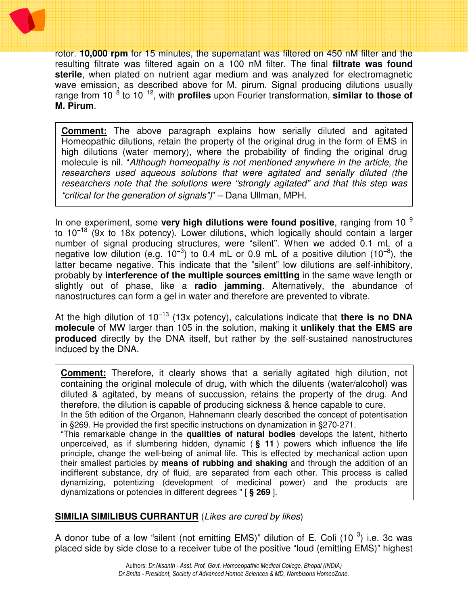

rotor. **10,000 rpm** for 15 minutes, the supernatant was filtered on 450 nM filter and the resulting filtrate was filtered again on a 100 nM filter. The final **filtrate was found sterile**, when plated on nutrient agar medium and was analyzed for electromagnetic wave emission, as described above for M. pirum. Signal producing dilutions usually range from 10−8 to 10−12, with **profiles** upon Fourier transformation, **similar to those of M. Pirum**.

**Comment:** The above paragraph explains how serially diluted and agitated Homeopathic dilutions, retain the property of the original drug in the form of EMS in high dilutions (water memory), where the probability of finding the original drug molecule is nil. "Although homeopathy is not mentioned anywhere in the article, the researchers used aqueous solutions that were agitated and serially diluted (the researchers note that the solutions were "strongly agitated" and that this step was "critical for the generation of signals")" – Dana Ullman, MPH.

In one experiment, some **very high dilutions were found positive**, ranging from 10−9 to 10<sup>-18</sup> (9x to 18x potency). Lower dilutions, which logically should contain a larger number of signal producing structures, were "silent". When we added 0.1 mL of a negative low dilution (e.g.  $10^{-3}$ ) to 0.4 mL or 0.9 mL of a positive dilution (10<sup>-8</sup>), the latter became negative. This indicate that the "silent" low dilutions are self-inhibitory, probably by **interference of the multiple sources emitting** in the same wave length or slightly out of phase, like a **radio jamming**. Alternatively, the abundance of nanostructures can form a gel in water and therefore are prevented to vibrate.

At the high dilution of 10−13 (13x potency), calculations indicate that **there is no DNA molecule** of MW larger than 105 in the solution, making it **unlikely that the EMS are produced** directly by the DNA itself, but rather by the self-sustained nanostructures induced by the DNA.

**Comment:** Therefore, it clearly shows that a serially agitated high dilution, not containing the original molecule of drug, with which the diluents (water/alcohol) was diluted & agitated, by means of succussion, retains the property of the drug. And therefore, the dilution is capable of producing sickness & hence capable to cure.

In the 5th edition of the Organon, Hahnemann clearly described the concept of potentisation in §269. He provided the first specific instructions on dynamization in §270-271.

"This remarkable change in the **qualities of natural bodies** develops the latent, hitherto unperceived, as if slumbering hidden, dynamic ( **§ 11** ) powers which influence the life principle, change the well-being of animal life. This is effected by mechanical action upon their smallest particles by **means of rubbing and shaking** and through the addition of an indifferent substance, dry of fluid, are separated from each other. This process is called dynamizing, potentizing (development of medicinal power) and the products are dynamizations or potencies in different degrees " [ **§ 269** ].

# **SIMILIA SIMILIBUS CURRANTUR** (Likes are cured by likes)

A donor tube of a low "silent (not emitting EMS)" dilution of E. Coli  $(10^{-3})$  i.e. 3c was placed side by side close to a receiver tube of the positive "loud (emitting EMS)" highest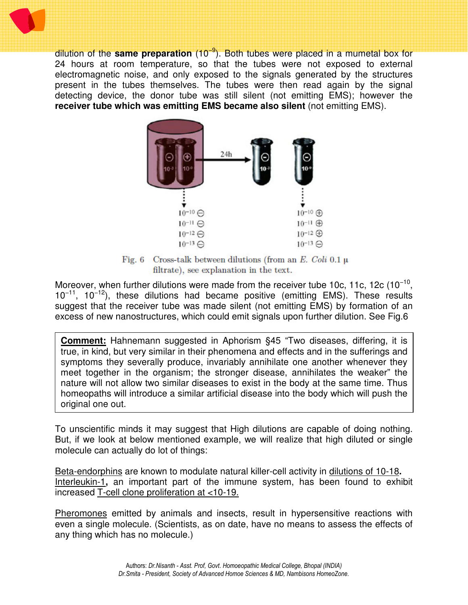dilution of the **same preparation** (10−9). Both tubes were placed in a mumetal box for 24 hours at room temperature, so that the tubes were not exposed to external electromagnetic noise, and only exposed to the signals generated by the structures present in the tubes themselves. The tubes were then read again by the signal detecting device, the donor tube was still silent (not emitting EMS); however the **receiver tube which was emitting EMS became also silent** (not emitting EMS).



Fig. 6 Cross-talk between dilutions (from an E. Coli 0.1  $\mu$ filtrate), see explanation in the text.

Moreover, when further dilutions were made from the receiver tube 10c, 11c, 12c (10<sup>-10</sup>,  $10^{-11}$ ,  $10^{-12}$ ), these dilutions had became positive (emitting EMS). These results suggest that the receiver tube was made silent (not emitting EMS) by formation of an excess of new nanostructures, which could emit signals upon further dilution. See Fig.6

**Comment:** Hahnemann suggested in Aphorism §45 "Two diseases, differing, it is true, in kind, but very similar in their phenomena and effects and in the sufferings and symptoms they severally produce, invariably annihilate one another whenever they meet together in the organism; the stronger disease, annihilates the weaker" the nature will not allow two similar diseases to exist in the body at the same time. Thus homeopaths will introduce a similar artificial disease into the body which will push the original one out.

To unscientific minds it may suggest that High dilutions are capable of doing nothing. But, if we look at below mentioned example, we will realize that high diluted or single molecule can actually do lot of things:

Beta-endorphins are known to modulate natural killer-cell activity in dilutions of 10-18**.**  Interleukin-1**,** an important part of the immune system, has been found to exhibit increased T-cell clone proliferation at <10-19.

Pheromones emitted by animals and insects, result in hypersensitive reactions with even a single molecule. (Scientists, as on date, have no means to assess the effects of any thing which has no molecule.)